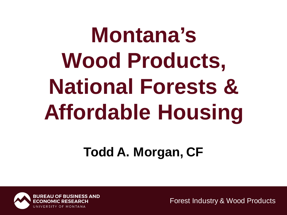# **Montana's Wood Products, National Forests & Affordable Housing**

### **Todd A. Morgan, CF**

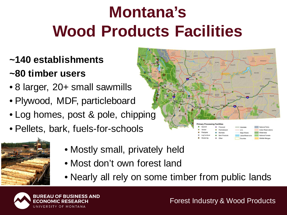# **Montana's Wood Products Facilities**

#### **~140 establishments**

#### **~80 timber users**

- 8 larger, 20+ small sawmills
- Plywood, MDF, particleboard
- Log homes, post & pole, chipping
- Pellets, bark, fuels-for-schools



- Mostly small, privately held
- Most don't own forest land
- Nearly all rely on some timber from public lands



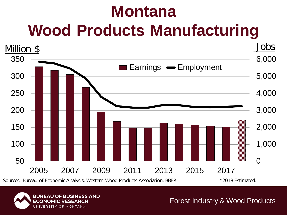# **Montana Wood Products Manufacturing**



Sources: Bureau of Economic Analysis, Western Wood Products Association, BBER. \* \* 2018 Estimated.

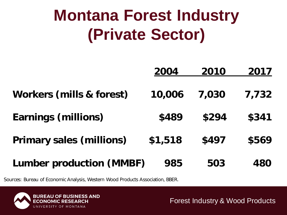## **Montana Forest Industry (Private Sector)**

|                                     | 2004    | 2010  | 2017       |
|-------------------------------------|---------|-------|------------|
| <b>Workers (mills &amp; forest)</b> | 10,006  | 7,030 | 7,732      |
| <b>Earnings (millions)</b>          | \$489   | \$294 | \$341      |
| <b>Primary sales (millions)</b>     | \$1,518 | \$497 | \$569      |
| <b>Lumber production (MMBF)</b>     | 985     | 503   | <b>480</b> |

Sources: Bureau of Economic Analysis, Western Wood Products Association, BBER.

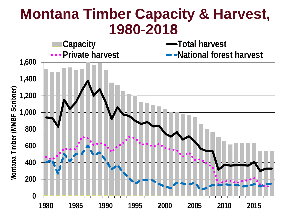### **Montana Timber Capacity & Harvest, 1980-2018**

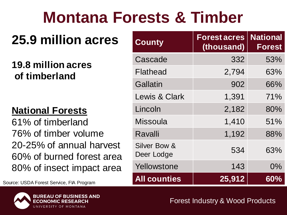## **Montana Forests & Timber**

### **25.9 million acres**

#### **19.8 million acres of timberland**

#### **National Forests**

61% of timberland 76% of timber volume 20-25% of annual harvest 60% of burned forest area 80% of insect impact area

**Source: USDA Forest Service, FIA Program** 



| <b>County</b>              | <b>Forest acres</b><br>(thousand) | <b>National</b><br><b>Forest</b> |
|----------------------------|-----------------------------------|----------------------------------|
| Cascade                    | 332                               | 53%                              |
| Flathead                   | 2,794                             | 63%                              |
| Gallatin                   | 902                               | 66%                              |
| <b>Lewis &amp; Clark</b>   | 1,391                             | 71%                              |
| Lincoln                    | 2,182                             | 80%                              |
| <b>Missoula</b>            | 1,410                             | 51%                              |
| Ravalli                    | 1,192                             | 88%                              |
| Silver Bow &<br>Deer Lodge | 534                               | 63%                              |
| Yellowstone                | 143                               | $0\%$                            |
| <b>All counties</b>        | 25,912                            | 60%                              |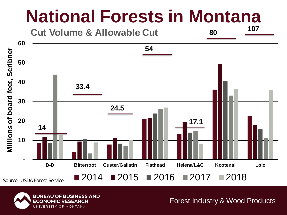# **National Forests in Montana**



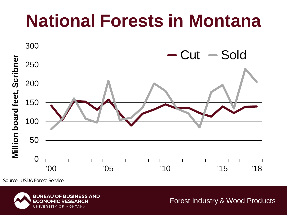# **National Forests in Montana**



Source: USDA Forest Service.

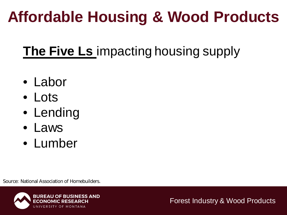### **Affordable Housing & Wood Products**

### **The Five Ls** impacting housing supply

- Labor
- Lots
- Lending
- Laws
- Lumber

Source: National Association of Homebuilders.

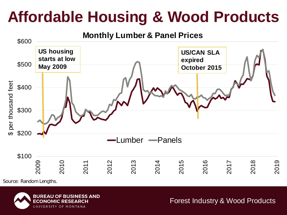### **Affordable Housing & Wood Products**



Source: Random Lengths.

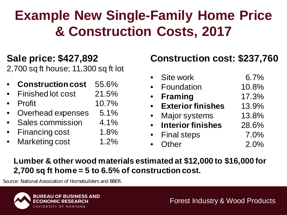### **Example New Single-Family Home Price & Construction Costs, 2017**

#### **Sale price: \$427,892**

2,700 sq ft house; 11,300 sq ft lot

- **Construction cost** 55.6%
- Finished lot cost 21.5%
- Profit 10.7%
- Overhead expenses 5.1%
- Sales commission 4.1%
- Financing cost 1.8%
- Marketing cost 1.2%

#### **Construction cost: \$237,760**

| Site work                | 6.7%  |
|--------------------------|-------|
| Foundation               | 10.8% |
| <b>Framing</b>           | 17.3% |
| <b>Exterior finishes</b> | 13.9% |
| <b>Major systems</b>     | 13.8% |
| <b>Interior finishes</b> | 28.6% |
| <b>Final steps</b>       | 7.0%  |
| Other                    | 2.0%  |

#### **Lumber & other wood materials estimated at \$12,000 to \$16,000 for 2,700 sq ft home = 5 to 6.5% of construction cost.**

Source: National Association of Homebuilders and BBER.

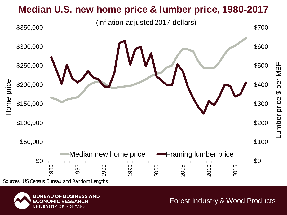#### **Median U.S. new home price & lumber price, 1980-2017**



Sources: US Census Bureau and Random Lengths.



Forest Industry & Wood Products

Lumber price \$ per MBF

umber price \$ per MBF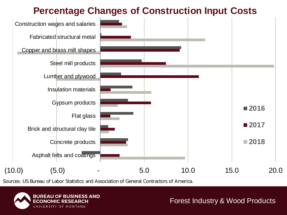#### **Percentage Changes of Construction Input Costs**



Sources: US Bureau of Labor Statistics and Association of General Contractors of America.

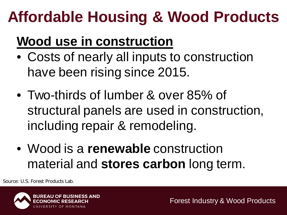## **Affordable Housing & Wood Products**

### **Wood use in construction**

- Costs of nearly all inputs to construction have been rising since 2015.
- Two-thirds of lumber & over 85% of structural panels are used in construction, including repair & remodeling.
- Wood is a **renewable** construction material and **stores carbon** long term.

Source: U.S. Forest Products Lab.

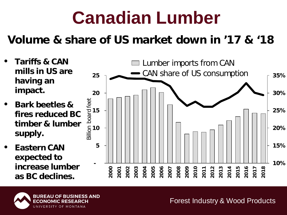# **Canadian Lumber**

#### **Volume & share of US market down in '17 & '18**

- **Tariffs & CAN mills in US are having an impact.**
- **Bark beetles & fires reduced BC timber & lumber supply.**
- **Eastern CAN expected to increase lumber as BC declines.**



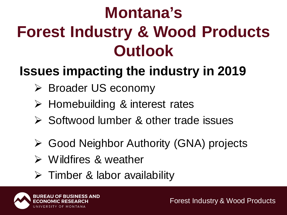# **Montana's Forest Industry & Wood Products Outlook**

### **Issues impacting the industry in 2019**

- Broader US economy
- Homebuilding & interest rates
- **► Softwood lumber & other trade issues**
- Good Neighbor Authority (GNA) projects
- Wildfires & weather
- $\triangleright$  Timber & labor availability